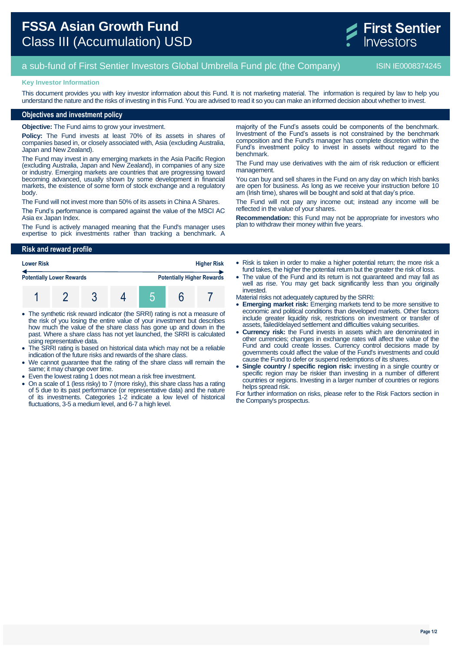

# a sub-fund of First Sentier Investors Global Umbrella Fund plc (the Company) ISIN IE0008374245

#### **Key Investor Information**

This document provides you with key investor information about this Fund. It is not marketing material. The information is required by law to help you understand the nature and the risks of investing in this Fund. You are advised to read it so you can make an informed decision about whether to invest.

### **Objectives and investment policy**

**Objective:** The Fund aims to grow your investment.

**Policy:** The Fund invests at least 70% of its assets in shares of companies based in, or closely associated with, Asia (excluding Australia, Japan and New Zealand).

The Fund may invest in any emerging markets in the Asia Pacific Region (excluding Australia, Japan and New Zealand), in companies of any size or industry. Emerging markets are countries that are progressing toward becoming advanced, usually shown by some development in financial markets, the existence of some form of stock exchange and a regulatory body.

The Fund will not invest more than 50% of its assets in China A Shares.

The Fund's performance is compared against the value of the MSCI AC Asia ex Japan Index.

The Fund is actively managed meaning that the Fund's manager uses expertise to pick investments rather than tracking a benchmark. A

majority of the Fund's assets could be components of the benchmark. Investment of the Fund's assets is not constrained by the benchmark composition and the Fund's manager has complete discretion within the Fund's investment policy to invest in assets without regard to the benchmark.

The Fund may use derivatives with the aim of risk reduction or efficient management.

You can buy and sell shares in the Fund on any day on which Irish banks are open for business. As long as we receive your instruction before 10 am (Irish time), shares will be bought and sold at that day's price.

The Fund will not pay any income out; instead any income will be reflected in the value of your shares.

**Recommendation:** this Fund may not be appropriate for investors who plan to withdraw their money within five years.

## **Risk and reward profile**

| <b>Lower Risk</b>                |  |  |  | <b>Higher Risk</b> |  |                                   |
|----------------------------------|--|--|--|--------------------|--|-----------------------------------|
| <b>Potentially Lower Rewards</b> |  |  |  |                    |  | <b>Potentially Higher Rewards</b> |
|                                  |  |  |  |                    |  |                                   |

- The synthetic risk reward indicator (the SRRI) rating is not a measure of the risk of you losing the entire value of your investment but describes how much the value of the share class has gone up and down in the past. Where a share class has not yet launched, the SRRI is calculated using representative data.
- The SRRI rating is based on historical data which may not be a reliable indication of the future risks and rewards of the share class.
- We cannot guarantee that the rating of the share class will remain the same; it may change over time.
- Even the lowest rating 1 does not mean a risk free investment.
- On a scale of 1 (less risky) to 7 (more risky), this share class has a rating of 5 due to its past performance (or representative data) and the nature of its investments. Categories 1-2 indicate a low level of historical fluctuations, 3-5 a medium level, and 6-7 a high level.

• Risk is taken in order to make a higher potential return; the more risk a fund takes, the higher the potential return but the greater the risk of loss.

- The value of the Fund and its return is not guaranteed and may fall as well as rise. You may get back significantly less than you originally invested.
- Material risks not adequately captured by the SRRI:
- **Emerging market risk:** Emerging markets tend to be more sensitive to economic and political conditions than developed markets. Other factors include greater liquidity risk, restrictions on investment or transfer of assets, failed/delayed settlement and difficulties valuing securities.
- **Currency risk:** the Fund invests in assets which are denominated in other currencies; changes in exchange rates will affect the value of the Fund and could create losses. Currency control decisions made by governments could affect the value of the Fund's investments and could cause the Fund to defer or suspend redemptions of its shares.
- **Single country / specific region risk:** investing in a single country or specific region may be riskier than investing in a number of different countries or regions. Investing in a larger number of countries or regions helps spread risk.

For further information on risks, please refer to the Risk Factors section in the Company's prospectus.